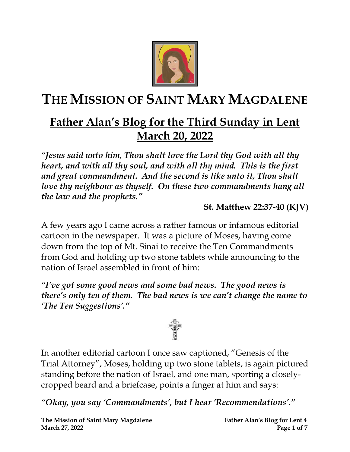

# **THE MISSION OF SAINT MARY MAGDALENE**

## **Father Alan's Blog for the Third Sunday in Lent March 20, 2022**

*"Jesus said unto him, Thou shalt love the Lord thy God with all thy heart, and with all thy soul, and with all thy mind. This is the first and great commandment. And the second is like unto it, Thou shalt love thy neighbour as thyself.* On these two commandments hang all *the law and the prophets."*

#### **St. Matthew 22:37-40 (KJV)**

A few years ago I came across a rather famous or infamous editorial cartoon in the newspaper. It was a picture of Moses, having come down from the top of Mt. Sinai to receive the Ten Commandments from God and holding up two stone tablets while announcing to the nation of Israel assembled in front of him:

*"I've got some good news and some bad news. The good news is there's only ten of them. The bad news is we can't change the name to 'The Ten Suggestions'."*



In another editorial cartoon I once saw captioned, "Genesis of the Trial Attorney", Moses, holding up two stone tablets, is again pictured standing before the nation of Israel, and one man, sporting a closelycropped beard and a briefcase, points a finger at him and says:

*"Okay, you say 'Commandments', but I hear 'Recommendations'."*

**The Mission of Saint Mary Magdalene Father Alan's Blog for Lent 4 March 27, 2022 Page 1** of 7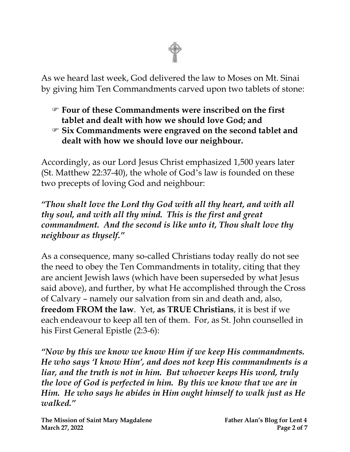

As we heard last week, God delivered the law to Moses on Mt. Sinai by giving him Ten Commandments carved upon two tablets of stone:

- **Four of these Commandments were inscribed on the first tablet and dealt with how we should love God; and**
- **Six Commandments were engraved on the second tablet and dealt with how we should love our neighbour.**

Accordingly, as our Lord Jesus Christ emphasized 1,500 years later (St. Matthew 22:37-40), the whole of God's law is founded on these two precepts of loving God and neighbour:

*"Thou shalt love the Lord thy God with all thy heart, and with all thy soul, and with all thy mind. This is the first and great commandment. And the second is like unto it, Thou shalt love thy neighbour as thyself."*

As a consequence, many so-called Christians today really do not see the need to obey the Ten Commandments in totality, citing that they are ancient Jewish laws (which have been superseded by what Jesus said above), and further, by what He accomplished through the Cross of Calvary – namely our salvation from sin and death and, also, **freedom FROM the law**. Yet, **as TRUE Christians**, it is best if we each endeavour to keep all ten of them. For, as St. John counselled in his First General Epistle (2:3-6):

*"Now by this we know we know Him if we keep His commandments. He who says 'I know Him', and does not keep His commandments is a liar, and the truth is not in him. But whoever keeps His word, truly the love of God is perfected in him. By this we know that we are in Him. He who says he abides in Him ought himself to walk just as He walked."*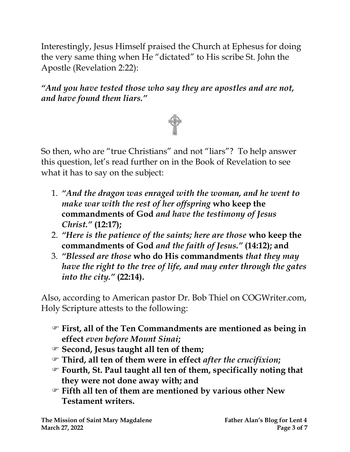Interestingly, Jesus Himself praised the Church at Ephesus for doing the very same thing when He "dictated" to His scribe St. John the Apostle (Revelation 2:22):

*"And you have tested those who say they are apostles and are not, and have found them liars."* 



So then, who are "true Christians" and not "liars"? To help answer this question, let's read further on in the Book of Revelation to see what it has to say on the subject:

- 1. *"And the dragon was enraged with the woman, and he went to make war with the rest of her offspring* **who keep the commandments of God** *and have the testimony of Jesus Christ."* **(12:17);**
- 2. *"Here is the patience of the saints; here are those* **who keep the commandments of God** *and the faith of Jesus."* **(14:12); and**
- 3. *"Blessed are those* **who do His commandments** *that they may have the right to the tree of life, and may enter through the gates into the city."* **(22:14).**

Also, according to American pastor Dr. Bob Thiel on COGWriter.com, Holy Scripture attests to the following:

- **First, all of the Ten Commandments are mentioned as being in effect** *even before Mount Sinai***;**
- **Second, Jesus taught all ten of them;**
- **Third, all ten of them were in effect** *after the crucifixion***;**
- **Fourth, St. Paul taught all ten of them, specifically noting that they were not done away with; and**
- **Fifth all ten of them are mentioned by various other New Testament writers.**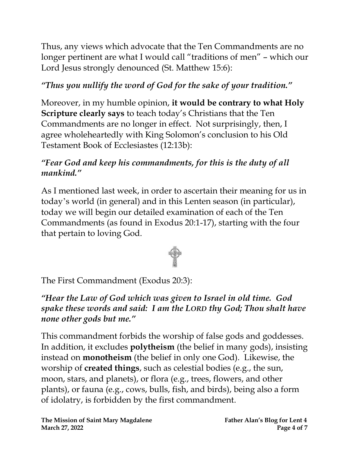Thus, any views which advocate that the Ten Commandments are no longer pertinent are what I would call "traditions of men" – which our Lord Jesus strongly denounced (St. Matthew 15:6):

### *"Thus you nullify the word of God for the sake of your tradition."*

Moreover, in my humble opinion, **it would be contrary to what Holy Scripture clearly says** to teach today's Christians that the Ten Commandments are no longer in effect. Not surprisingly, then, I agree wholeheartedly with King Solomon's conclusion to his Old Testament Book of Ecclesiastes (12:13b):

#### *"Fear God and keep his commandments, for this is the duty of all mankind."*

As I mentioned last week, in order to ascertain their meaning for us in today's world (in general) and in this Lenten season (in particular), today we will begin our detailed examination of each of the Ten Commandments (as found in Exodus 20:1-17), starting with the four that pertain to loving God.



The First Commandment (Exodus 20:3):

#### *"Hear the Law of God which was given to Israel in old time. God spake these words and said: I am the LORD thy God; Thou shalt have none other gods but me."*

This commandment forbids the worship of false gods and goddesses. In addition, it excludes **polytheism** (the belief in many gods), insisting instead on **monotheism** (the belief in only one God). Likewise, the worship of **created things**, such as celestial bodies (e.g., the sun, moon, stars, and planets), or flora (e.g., trees, flowers, and other plants), or fauna (e.g., cows, bulls, fish, and birds), being also a form of idolatry, is forbidden by the first commandment.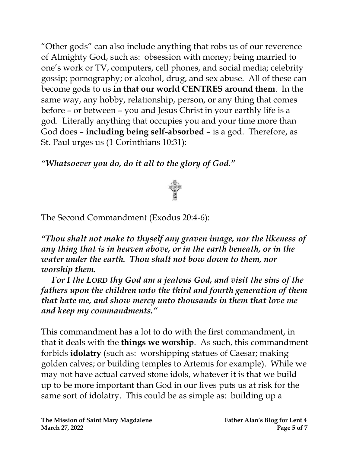"Other gods" can also include anything that robs us of our reverence of Almighty God, such as: obsession with money; being married to one's work or TV, computers, cell phones, and social media; celebrity gossip; pornography; or alcohol, drug, and sex abuse. All of these can become gods to us **in that our world CENTRES around them**. In the same way, any hobby, relationship, person, or any thing that comes before – or between – you and Jesus Christ in your earthly life is a god. Literally anything that occupies you and your time more than God does – **including being self-absorbed** – is a god. Therefore, as St. Paul urges us (1 Corinthians 10:31):

*"Whatsoever you do, do it all to the glory of God."*



The Second Commandment (Exodus 20:4-6):

*"Thou shalt not make to thyself any graven image, nor the likeness of any thing that is in heaven above, or in the earth beneath, or in the water under the earth. Thou shalt not bow down to them, nor worship them.*

 *For I the LORD thy God am a jealous God, and visit the sins of the fathers upon the children unto the third and fourth generation of them that hate me, and show mercy unto thousands in them that love me and keep my commandments."*

This commandment has a lot to do with the first commandment, in that it deals with the **things we worship**. As such, this commandment forbids **idolatry** (such as: worshipping statues of Caesar; making golden calves; or building temples to Artemis for example). While we may not have actual carved stone idols, whatever it is that we build up to be more important than God in our lives puts us at risk for the same sort of idolatry. This could be as simple as: building up a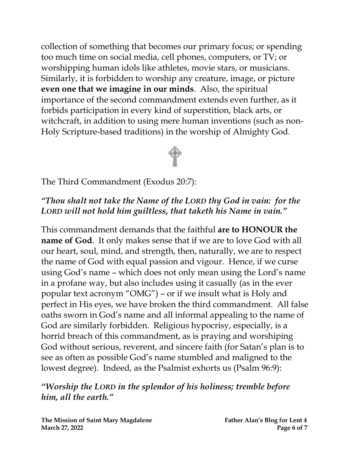collection of something that becomes our primary focus; or spending too much time on social media, cell phones, computers, or TV; or worshipping human idols like athletes, movie stars, or musicians. Similarly, it is forbidden to worship any creature, image, or picture **even one that we imagine in our minds**. Also, the spiritual importance of the second commandment extends even further, as it forbids participation in every kind of superstition, black arts, or witchcraft, in addition to using mere human inventions (such as non-Holy Scripture-based traditions) in the worship of Almighty God.



The Third Commandment (Exodus 20:7):

#### *"Thou shalt not take the Name of the LORD thy God in vain: for the LORD will not hold him guiltless, that taketh his Name in vain."*

This commandment demands that the faithful **are to HONOUR the name of God**. It only makes sense that if we are to love God with all our heart, soul, mind, and strength, then, naturally, we are to respect the name of God with equal passion and vigour. Hence, if we curse using God's name – which does not only mean using the Lord's name in a profane way, but also includes using it casually (as in the ever popular text acronym "OMG") – or if we insult what is Holy and perfect in His eyes, we have broken the third commandment. All false oaths sworn in God's name and all informal appealing to the name of God are similarly forbidden. Religious hypocrisy, especially, is a horrid breach of this commandment, as is praying and worshiping God without serious, reverent, and sincere faith (for Satan's plan is to see as often as possible God's name stumbled and maligned to the lowest degree). Indeed, as the Psalmist exhorts us (Psalm 96:9):

*"Worship the LORD in the splendor of his holiness; tremble before him, all the earth."*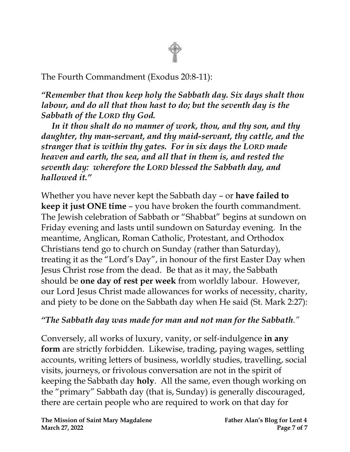

The Fourth Commandment (Exodus 20:8-11):

*"Remember that thou keep holy the Sabbath day. Six days shalt thou labour, and do all that thou hast to do; but the seventh day is the Sabbath of the LORD thy God.*

 *In it thou shalt do no manner of work, thou, and thy son, and thy daughter, thy man-servant, and thy maid-servant, thy cattle, and the stranger that is within thy gates. For in six days the LORD made heaven and earth, the sea, and all that in them is, and rested the seventh day: wherefore the LORD blessed the Sabbath day, and hallowed it."*

Whether you have never kept the Sabbath day – or **have failed to keep it just ONE time** – you have broken the fourth commandment. The Jewish celebration of Sabbath or "Shabbat" begins at sundown on Friday evening and lasts until sundown on Saturday evening. In the meantime, Anglican, Roman Catholic, Protestant, and Orthodox Christians tend go to church on Sunday (rather than Saturday), treating it as the "Lord's Day", in honour of the first Easter Day when Jesus Christ rose from the dead. Be that as it may, the Sabbath should be **one day of rest per week** from worldly labour. However, our Lord Jesus Christ made allowances for works of necessity, charity, and piety to be done on the Sabbath day when He said (St. Mark 2:27):

#### *"The Sabbath day was made for man and not man for the Sabbath."*

Conversely, all works of luxury, vanity, or self-indulgence **in any form** are strictly forbidden. Likewise, trading, paying wages, settling accounts, writing letters of business, worldly studies, travelling, social visits, journeys, or frivolous conversation are not in the spirit of keeping the Sabbath day **holy**. All the same, even though working on the "primary" Sabbath day (that is, Sunday) is generally discouraged, there are certain people who are required to work on that day for